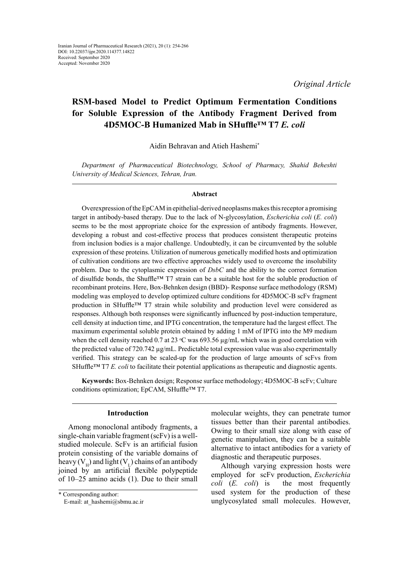*Original Article*

# **RSM-based Model to Predict Optimum Fermentation Conditions for Soluble Expression of the Antibody Fragment Derived from 4D5MOC-B Humanized Mab in SHuffle™ T7** *E. coli*

Aidin Behravan and Atieh Hashemi\*

*Department of Pharmaceutical Biotechnology, School of Pharmacy, Shahid Beheshti University of Medical Sciences, Tehran, Iran.*

#### **Abstract**

Overexpression of the EpCAM in epithelial-derived neoplasms makes this receptor a promising target in antibody-based therapy. Due to the lack of N-glycosylation, *Escherichia coli* (*E. coli*) seems to be the most appropriate choice for the expression of antibody fragments. However, developing a robust and cost-effective process that produces consistent therapeutic proteins from inclusion bodies is a major challenge. Undoubtedly, it can be circumvented by the soluble expression of these proteins. Utilization of numerous genetically modified hosts and optimization of cultivation conditions are two effective approaches widely used to overcome the insolubility problem. Due to the cytoplasmic expression of *DsbC* and the ability to the correct formation of disulfide bonds, the Shuffle™ T7 strain can be a suitable host for the soluble production of recombinant proteins. Here, Box-Behnken design (BBD)- Response surface methodology (RSM) modeling was employed to develop optimized culture conditions for 4D5MOC-B scFv fragment production in SHuffle™ T7 strain while solubility and production level were considered as responses. Although both responses were significantly influenced by post-induction temperature, cell density at induction time, and IPTG concentration, the temperature had the largest effect. The maximum experimental soluble protein obtained by adding 1 mM of IPTG into the M9 medium when the cell density reached 0.7 at 23  $\degree$ C was 693.56  $\mu$ g/mL which was in good correlation with the predicted value of 720.742 µg/mL. Predictable total expression value was also experimentally verified. This strategy can be scaled-up for the production of large amounts of scFvs from SHuffle™ T7 *E. coli* to facilitate their potential applications as therapeutic and diagnostic agents.

**Keywords:** Box-Behnken design; Response surface methodology; 4D5MOC-B scFv; Culture conditions optimization; EpCAM, SHuffle™ T7.

### **Introduction**

Among monoclonal antibody fragments, a single-chain variable fragment (scFv) is a wellstudied molecule. ScFv is an artificial fusion protein consisting of the variable domains of heavy  $(V_H)$  and light  $(V_L)$  chains of an antibody joined by an artificial flexible polypeptide of 10–25 amino acids (1). Due to their small

molecular weights, they can penetrate tumor tissues better than their parental antibodies. Owing to their small size along with ease of genetic manipulation, they can be a suitable alternative to intact antibodies for a variety of diagnostic and therapeutic purposes.

Although varying expression hosts were employed for scFv production, *Escherichia coli* (*E. coli*) is the most frequently used system for the production of these unglycosylated small molecules. However,

<sup>\*</sup> Corresponding author:

E-mail: at\_hashemi@sbmu.ac.ir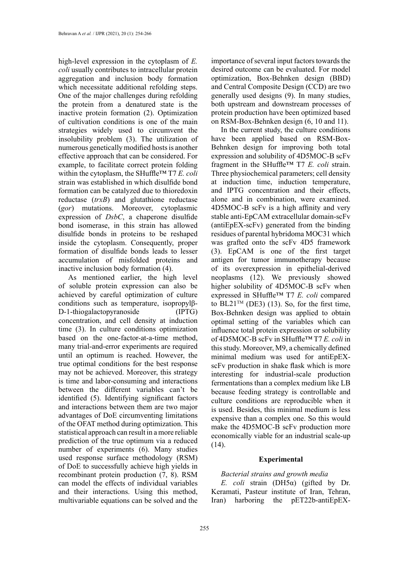high-level expression in the cytoplasm of *E. coli* usually contributes to intracellular protein aggregation and inclusion body formation which necessitate additional refolding steps. One of the major challenges during refolding the protein from a denatured state is the inactive protein formation (2). Optimization of cultivation conditions is one of the main strategies widely used to circumvent the insolubility problem (3). The utilization of numerous genetically modified hosts is another effective approach that can be considered. For example, to facilitate correct protein folding within the cytoplasm, the SHuffle™ T7 *E. coli* strain was established in which disulfide bond formation can be catalyzed due to thioredoxin reductase (*trxB*) and glutathione reductase (*gor*) mutations. Moreover, cytoplasmic expression of *DsbC*, a chaperone disulfide bond isomerase, in this strain has allowed disulfide bonds in proteins to be reshaped inside the cytoplasm. Consequently, proper formation of disulfide bonds leads to lesser accumulation of misfolded proteins and inactive inclusion body formation (4).

As mentioned earlier, the high level of soluble protein expression can also be achieved by careful optimization of culture conditions such as temperature, isopropylβ-D-1-thiogalactopyranoside (IPTG) concentration, and cell density at induction time (3). In culture conditions optimization based on the one-factor-at-a-time method, many trial-and-error experiments are required until an optimum is reached. However, the true optimal conditions for the best response may not be achieved. Moreover, this strategy is time and labor-consuming and interactions between the different variables can't be identified (5). Identifying significant factors and interactions between them are two major advantages of DoE circumventing limitations of the OFAT method during optimization. This statistical approach can result in a more reliable prediction of the true optimum via a reduced number of experiments (6). Many studies used response surface methodology (RSM) of DoE to successfully achieve high yields in recombinant protein production (7, 8). RSM can model the effects of individual variables and their interactions. Using this method, multivariable equations can be solved and the

importance of several input factors towards the desired outcome can be evaluated. For model optimization, Box-Behnken design (BBD) and Central Composite Design (CCD) are two generally used designs (9). In many studies, both upstream and downstream processes of protein production have been optimized based on RSM-Box-Behnken design (6, 10 and 11).

In the current study, the culture conditions have been applied based on RSM-Box-Behnken design for improving both total expression and solubility of 4D5MOC-B scFv fragment in the SHuffle™ T7 *E. coli* strain. Three physiochemical parameters; cell density at induction time, induction temperature, and IPTG concentration and their effects, alone and in combination, were examined. 4D5MOC-B scFv is a high affinity and very stable anti-EpCAM extracellular domain-scFv (antiEpEX-scFv) generated from the binding residues of parental hybridoma MOC31 which was grafted onto the scFv 4D5 framework (3). EpCAM is one of the first target antigen for tumor immunotherapy because of its overexpression in epithelial-derived neoplasms (12). We previously showed higher solubility of 4D5MOC-B scFv when expressed in SHuffle™ T7 *E. coli* compared to BL21<sup>TM</sup> (DE3) (13). So, for the first time, Box-Behnken design was applied to obtain optimal setting of the variables which can influence total protein expression or solubility of 4D5MOC-B scFv in SHuffle™ T7 *E. coli* in this study. Moreover, M9, a chemically defined minimal medium was used for antiEpEXscFv production in shake flask which is more interesting for industrial-scale production fermentations than a complex medium like LB because feeding strategy is controllable and culture conditions are reproducible when it is used. Besides, this minimal medium is less expensive than a complex one. So this would make the 4D5MOC-B scFv production more economically viable for an industrial scale-up (14).

# **Experimental**

#### *Bacterial strains and growth media*

*E. coli* strain (DH5α) (gifted by Dr. Keramati, Pasteur institute of Iran, Tehran, Iran) harboring the pET22b-antiEpEX-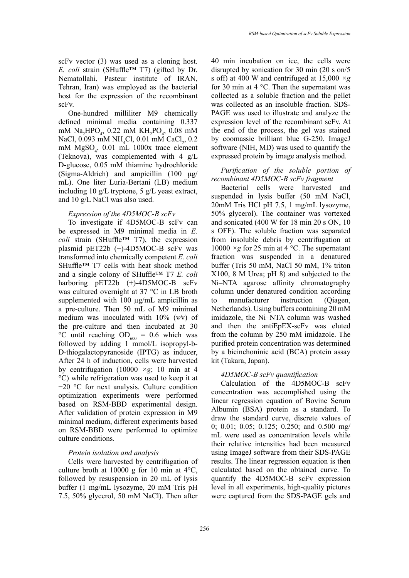scFv vector (3) was used as a cloning host. *E. coli* strain (SHuffle™ T7) (gifted by Dr. Nematollahi, Pasteur institute of IRAN, Tehran, Iran) was employed as the bacterial host for the expression of the recombinant scFv.

One-hundred milliliter M9 chemically defined minimal media containing 0.337 mM Na<sub>2</sub>HPO<sub>4</sub>, 0.22 mM KH<sub>2</sub>PO<sub>4</sub>, 0.08 mM NaCl, 0.093 mM NH<sub>4</sub>Cl, 0.01 mM CaCl<sub>2</sub>, 0.2 mM MgSO<sub>4</sub>, 0.01 mL 1000x trace element (Teknova), was complemented with 4 g/L D-glucose, 0.05 mM thiamine hydrochloride (Sigma-Aldrich) and ampicillin (100 μg/ mL). One liter Luria-Bertani (LB) medium including 10 g/L tryptone, 5 g/L yeast extract, and 10 g/L NaCl was also used.

# *Expression of the 4D5MOC-B scFv*

To investigate if 4D5MOC-B scFv can be expressed in M9 minimal media in *E. coli* strain (SHuffle™ T7), the expression plasmid pET22b (+)-4D5MOC-B scFv was transformed into chemically competent *E. coli* SHuffle™ T7 cells with heat shock method and a single colony of SHuffle™ T7 *E. coli*  harboring pET22b (+)-4D5MOC-B scFv was cultured overnight at 37 °C in LB broth supplemented with 100 µg/mL ampicillin as a pre-culture. Then 50 mL of M9 minimal medium was inoculated with  $10\%$  (v/v) of the pre-culture and then incubated at 30 °C until reaching  $OD_{600} = 0.6$  which was followed by adding 1 mmol/L isopropyl-b-D-thiogalactopyranoside (IPTG) as inducer, After 24 h of induction, cells were harvested by centrifugation (10000 *×g*; 10 min at 4 °C) while refrigeration was used to keep it at −20 °C for next analysis. Culture condition optimization experiments were performed based on RSM-BBD experimental design. After validation of protein expression in M9 minimal medium, different experiments based on RSM-BBD were performed to optimize culture conditions.

### *Protein isolation and analysis*

Cells were harvested by centrifugation of culture broth at  $10000 \text{ g}$  for 10 min at 4 $\text{°C}$ . followed by resuspension in 20 mL of lysis buffer (1 mg/mL lysozyme, 20 mM Tris pH 7.5, 50% glycerol, 50 mM NaCl). Then after

40 min incubation on ice, the cells were disrupted by sonication for 30 min (20 s on/5 s off) at 400 W and centrifuged at 15,000 *×g* for 30 min at 4 °C. Then the supernatant was collected as a soluble fraction and the pellet was collected as an insoluble fraction. SDS-PAGE was used to illustrate and analyze the expression level of the recombinant scFv. At the end of the process, the gel was stained by coomassie brilliant blue G-250. ImageJ software (NIH, MD) was used to quantify the expressed protein by image analysis method.

# *Purification of the soluble portion of recombinant 4D5MOC-B scFv fragment*

Bacterial cells were harvested and suspended in lysis buffer (50 mM NaCl, 20mM Tris HCl pH 7.5, 1 mg/mL lysozyme, 50% glycerol). The container was vortexed and sonicated (400 W for 18 min 20 s ON, 10 s OFF). The soluble fraction was separated from insoluble debris by centrifugation at 10000  $\times$ g for 25 min at 4 °C. The supernatant fraction was suspended in a denatured buffer (Tris 50 mM, NaCl 50 mM, 1% triton X100, 8 M Urea; pH 8) and subjected to the Ni–NTA agarose affinity chromatography column under denatured condition according to manufacturer instruction (Qiagen, Netherlands). Using buffers containing 20 mM imidazole, the Ni–NTA column was washed and then the antiEpEX-scFv was eluted from the column by 250 mM imidazole. The purified protein concentration was determined by a bicinchoninic acid (BCA) protein assay kit (Takara, Japan).

# *4D5MOC-B scFv quantification*

Calculation of the 4D5MOC-B scFv concentration was accomplished using the linear regression equation of Bovine Serum Albumin (BSA) protein as a standard. To draw the standard curve, discrete values of 0; 0.01; 0.05; 0.125; 0.250; and 0.500 mg/ mL were used as concentration levels while their relative intensities had been measured using ImageJ software from their SDS-PAGE results. The linear regression equation is then calculated based on the obtained curve. To quantify the 4D5MOC-B scFv expression level in all experiments, high-quality pictures were captured from the SDS-PAGE gels and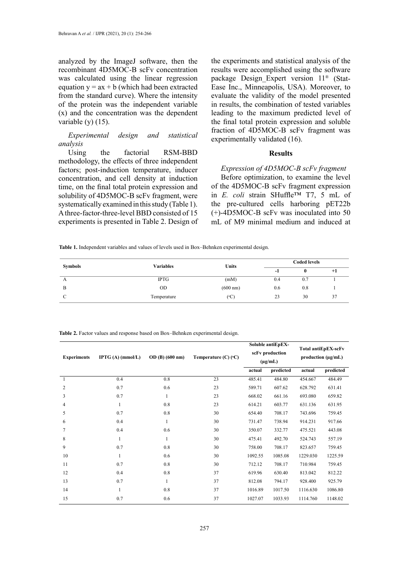analyzed by the ImageJ software, then the recombinant 4D5MOC-B scFv concentration was calculated using the linear regression equation  $y = ax + b$  (which had been extracted from the standard curve). Where the intensity of the protein was the independent variable (x) and the concentration was the dependent variable (y) (15).

*Experimental design and statistical analysis*

Using the factorial RSM-BBD methodology, the effects of three independent factors; post-induction temperature, inducer concentration, and cell density at induction time, on the final total protein expression and solubility of 4D5MOC-B scFv fragment, were systematically examined in this study (Table 1). A three-factor-three-level BBD consisted of 15 experiments is presented in Table 2. Design of the experiments and statistical analysis of the results were accomplished using the software package Design\_Expert version 11® (Stat-Ease Inc., Minneapolis, USA). Moreover, to evaluate the validity of the model presented in results, the combination of tested variables leading to the maximum predicted level of the final total protein expression and soluble fraction of 4D5MOC-B scFv fragment was experimentally validated (16).

# **Results**

# *Expression of 4D5MOC-B scFv fragment*

Before optimization, to examine the level of the 4D5MOC-B scFv fragment expression in *E. coli* strain SHuffle™ T7, 5 mL of the pre-cultured cells harboring pET22b (+)-4D5MOC-B scFv was inoculated into 50 mL of M9 minimal medium and induced at

|  |  |  | <b>Table 1.</b> Independent variables and values of levels used in Box-Behnken experimental design. |  |
|--|--|--|-----------------------------------------------------------------------------------------------------|--|
|  |  |  |                                                                                                     |  |

| <b>Symbols</b> | <b>Variables</b> | <b>Units</b>       | <b>Coded levels</b> |     |      |  |
|----------------|------------------|--------------------|---------------------|-----|------|--|
|                |                  |                    | -1                  |     | $+1$ |  |
| A              | <b>IPTG</b>      | (mM)               | 0.4                 | 0.7 |      |  |
| B              | <b>OD</b>        | $(600 \text{ nm})$ | 0.6                 | 0.8 |      |  |
| C              | Temperature      | $({}^{\circ}C)$    | 23                  | 30  | 31   |  |

**Table 2.** Factor values and response based on Box–Behnken experimental design.

| <b>Experiments</b>       | IPTG $(A)$ (mmol/L) | OD (B) (600 nm) | Temperature $(C)$ ( $(C)$ ) | Soluble antiEpEX-<br>scFv production<br>$(\mu g/mL)$ |           | Total antiEpEX-scFv<br>production $(\mu g/mL)$ |           |
|--------------------------|---------------------|-----------------|-----------------------------|------------------------------------------------------|-----------|------------------------------------------------|-----------|
|                          |                     |                 |                             | actual                                               | predicted | actual                                         | predicted |
| $\overline{\phantom{0}}$ | 0.4                 | 0.8             | 23                          | 485.41                                               | 484.80    | 454.667                                        | 484.49    |
| 2                        | 0.7                 | 0.6             | 23                          | 589.71                                               | 607.62    | 628.792                                        | 631.41    |
| 3                        | 0.7                 | 1               | 23                          | 668.02                                               | 661.16    | 693.080                                        | 659.82    |
| $\overline{4}$           |                     | 0.8             | 23                          | 614.21                                               | 603.77    | 631.136                                        | 631.95    |
| 5                        | 0.7                 | 0.8             | 30                          | 654.40                                               | 708.17    | 743.696                                        | 759.45    |
| 6                        | 0.4                 | 1               | 30                          | 731.47                                               | 738.94    | 914.231                                        | 917.66    |
| 7                        | 0.4                 | 0.6             | 30                          | 350.07                                               | 332.77    | 475.521                                        | 443.08    |
| 8                        | 1                   | 1               | 30                          | 475.41                                               | 492.70    | 524.743                                        | 557.19    |
| 9                        | 0.7                 | 0.8             | 30                          | 758.00                                               | 708.17    | 823.657                                        | 759.45    |
| 10                       | 1                   | 0.6             | 30                          | 1092.55                                              | 1085.08   | 1229.030                                       | 1225.59   |
| 11                       | 0.7                 | 0.8             | 30                          | 712.12                                               | 708.17    | 710.984                                        | 759.45    |
| 12                       | 0.4                 | 0.8             | 37                          | 619.96                                               | 630.40    | 813.042                                        | 812.22    |
| 13                       | 0.7                 | 1               | 37                          | 812.08                                               | 794.17    | 928.400                                        | 925.79    |
| 14                       | 1                   | 0.8             | 37                          | 1016.89                                              | 1017.50   | 1116.630                                       | 1086.80   |
| 15                       | 0.7                 | 0.6             | 37                          | 1027.07                                              | 1033.93   | 1114.760                                       | 1148.02   |
|                          |                     |                 |                             |                                                      |           |                                                |           |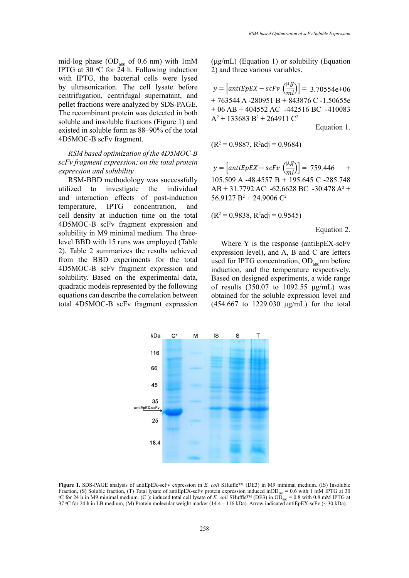mid-log phase  $OD_{600}$  of 0.6 nm) with 1mM IPTG at 30  $\rm{C}$  for 24 h. Following induction with IPTG, the bacterial cells were lysed by ultrasonication. The cell lysate before centrifugation, centrifugal supernatant, and pellet fractions were analyzed by SDS-PAGE. The recombinant protein was detected in both soluble and insoluble fractions (Figure 1) and existed in soluble form as 88–90% of the total

# *RSM based optimization of the 4D5MOC-B scFv fragment expression; on the total protein expression and solubility*

4D5MOC-B scFv fragment.

RSM-BBD methodology was successfully utilized to investigate the individual and interaction effects of post-induction temperature, IPTG concentration, and cell density at induction time on the total 4D5MOC-B scFv fragment expression and solubility in M9 minimal medium. The threelevel BBD with 15 runs was employed (Table 2). Table 2 summarizes the results achieved from the BBD experiments for the total 4D5MOC-B scFv fragment expression and solubility. Based on the experimental data, quadratic models represented by the following equations can describe the correlation between total 4D5MOC-B scFv fragment expression (μg/mL) (Equation 1) or solubility (Equation 2) and three various variables.

 $y = \left[ antiEpEX - scFv \left( \frac{\mu g}{ml} \right) \right] = 3.70554e+06$ + 763544 A -280951 B + 843876 C -1.50655e + 06 AB + 404552 AC -442516 BC -410083  $A^2$  + 133683 B<sup>2</sup> + 264911 C<sup>2</sup> Equation 1.

 $(R^2 = 0.9887, R^2$ adj = 0.9684)

 $y = \left[ antiEpEX - scFv \left( \frac{\mu g}{ml} \right) \right] = 759.446$  + 105.509 A -48.4557 B + 195.645 C -285.748  $AB + 31.7792$  AC  $-62.6628$  BC  $-30.478$  A<sup>2</sup> +  $56.9127 B^2 + 24.9006 C^2$ 

$$
(R^2 = 0.9838, R^2 adj = 0.9545)
$$

Equation 2.

Where Y is the response (antiEpEX-scFv expression level), and A, B and C are letters used for IPTG concentration,  $OD<sub>600</sub>$ mm before induction, and the temperature respectively. Based on designed experiments, a wide range of results (350.07 to 1092.55 μg/mL) was obtained for the soluble expression level and (454.667 to 1229.030 μg/mL) for the total



Figure 1. SDS-PAGE analysis of antiEpEX-scFv expression in E. coli SHuffle<sup>TM</sup> (DE3) in M9 minimal medium. (IS) Insoluble Fraction, (S) Soluble fraction, (T) Total lysate of antiEpEX-scFv protein expression induced inOD<sub>600</sub> = 0.6 with 1 mM IPTG at 30 °C for 24 h in M9 minimal medium. (C<sup>+</sup>): induced total cell lysate of *E. coli* SHuffle™ (DE3) in OD<sub>600</sub> = 0.8 with 0.8 mM IPTG at 37 °C for 24 h in LB medium, (M) Protein molecular weight marker (14.4 – 116 kDa). Arrow indicated antiEpEX-scFv ( $\sim$  30 kDa).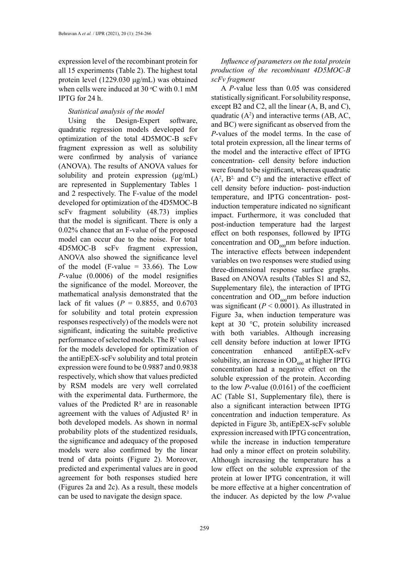expression level of the recombinant protein for all 15 experiments (Table 2). The highest total protein level (1229.030 μg/mL) was obtained when cells were induced at  $30^{\circ}$ C with 0.1 mM IPTG for 24 h.

# *Statistical analysis of the model*

Using the Design-Expert software, quadratic regression models developed for optimization of the total 4D5MOC-B scFv fragment expression as well as solubility were confirmed by analysis of variance (ANOVA). The results of ANOVA values for solubility and protein expression (μg/mL) are represented in Supplementary Tables 1 and 2 respectively. The F-value of the model developed for optimization of the 4D5MOC-B scFv fragment solubility (48.73) implies that the model is significant. There is only a 0.02% chance that an F-value of the proposed model can occur due to the noise. For total 4D5MOC-B scFv fragment expression, ANOVA also showed the significance level of the model (F-value  $= 33.66$ ). The Low *P*-value (0.0006) of the model resignifies the significance of the model. Moreover, the mathematical analysis demonstrated that the lack of fit values ( $P = 0.8855$ , and 0.6703 for solubility and total protein expression responses respectively) of the models were not significant, indicating the suitable predictive performance of selected models. The  $R^2$  values for the models developed for optimization of the antiEpEX-scFv solubility and total protein expression were found to be 0.9887 and 0.9838 respectively, which show that values predicted by RSM models are very well correlated with the experimental data. Furthermore, the values of the Predicted  $\mathbb{R}^2$  are in reasonable agreement with the values of Adjusted  $\mathbb{R}^2$  in both developed models. As shown in normal probability plots of the studentized residuals, the significance and adequacy of the proposed models were also confirmed by the linear trend of data points (Figure 2). Moreover, predicted and experimental values are in good agreement for both responses studied here (Figures 2a and 2c). As a result, these models can be used to navigate the design space.

# *Influence of parameters on the total protein production of the recombinant 4D5MOC-B scFv fragment*

A *P*-value less than 0.05 was considered statistically significant. For solubility response, except B2 and C2, all the linear (A, B, and C), quadratic  $(A^2)$  and interactive terms  $(AB, AC,$ and BC) were significant as observed from the *P*-values of the model terms. In the case of total protein expression, all the linear terms of the model and the interactive effect of IPTG concentration- cell density before induction were found to be significant, whereas quadratic  $(A<sup>2</sup>, B<sup>2</sup>$  and  $C<sup>2</sup>$ ) and the interactive effect of cell density before induction- post-induction temperature, and IPTG concentration- postinduction temperature indicated no significant impact. Furthermore, it was concluded that post-induction temperature had the largest effect on both responses, followed by IPTG concentration and  $OD_{600}$ nm before induction. The interactive effects between independent variables on two responses were studied using three-dimensional response surface graphs. Based on ANOVA results (Tables S1 and S2, Supplementary file), the interaction of IPTG concentration and  $OD_{600}$ nm before induction was significant  $(P < 0.0001)$ . As illustrated in Figure 3a, when induction temperature was kept at 30 °C, protein solubility increased with both variables. Although increasing cell density before induction at lower IPTG concentration enhanced antiEpEX-scFv solubility, an increase in  $OD_{600}$  at higher IPTG concentration had a negative effect on the soluble expression of the protein. According to the low *P*-value (0.0161) of the coefficient AC (Table S1, Supplementary file), there is also a significant interaction between IPTG concentration and induction temperature. As depicted in Figure 3b, antiEpEX-scFv soluble expression increased with IPTG concentration, while the increase in induction temperature had only a minor effect on protein solubility. Although increasing the temperature has a low effect on the soluble expression of the protein at lower IPTG concentration, it will be more effective at a higher concentration of the inducer. As depicted by the low *P*-value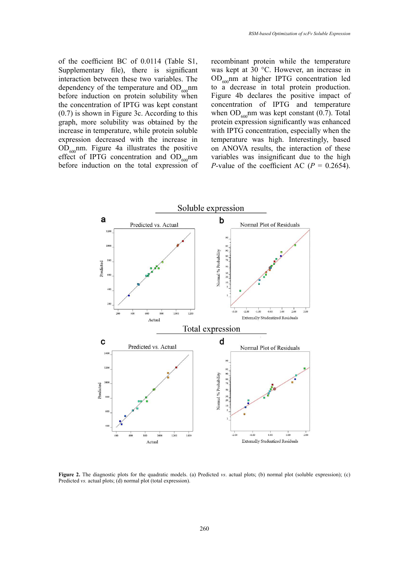of the coefficient BC of 0.0114 (Table S1, Supplementary file), there is significant interaction between these two variables. The dependency of the temperature and  $OD_{600}$ nm before induction on protein solubility when the concentration of IPTG was kept constant (0.7) is shown in Figure 3c. According to this graph, more solubility was obtained by the increase in temperature, while protein soluble expression decreased with the increase in  $OD<sub>600</sub>$ nm. Figure 4a illustrates the positive effect of IPTG concentration and  $OD_{600}$ nm before induction on the total expression of recombinant protein while the temperature was kept at 30 °C. However, an increase in OD<sub>600</sub>nm at higher IPTG concentration led to a decrease in total protein production. Figure 4b declares the positive impact of concentration of IPTG and temperature when  $OD_{600}$ nm was kept constant (0.7). Total protein expression significantly was enhanced with IPTG concentration, especially when the temperature was high. Interestingly, based on ANOVA results, the interaction of these variables was insignificant due to the high *P*-value of the coefficient AC ( $P = 0.2654$ ).



Predicted  $vs.$  actual plots; (d) normal plot (total expression). **Figure 2.** The diagnostic plots for the quadratic models. (a) Predicted *vs*. actual plots; (b) normal plot (soluble expression); (c)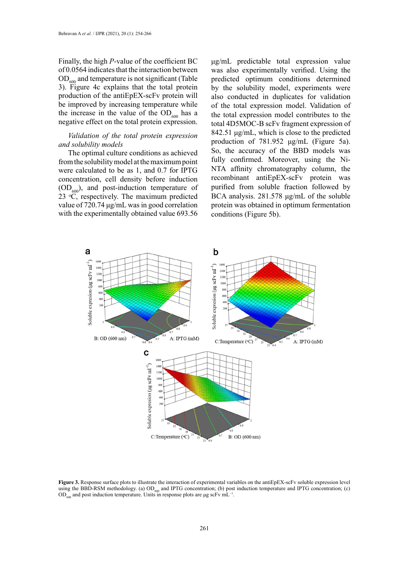Finally, the high *P*-value of the coefficient BC of 0.0564 indicates that the interaction between  $OD<sub>600</sub>$  and temperature is not significant (Table 3). Figure 4c explains that the total protein production of the antiEpEX-scFv protein will be improved by increasing temperature while the increase in the value of the  $OD<sub>600</sub>$  has a negative effect on the total protein expression.

## *Validation of the total protein expression and solubility models*

The optimal culture conditions as achieved from the solubility model at the maximum point were calculated to be as 1, and 0.7 for IPTG concentration, cell density before induction  $(OD<sub>600</sub>)$ , and post-induction temperature of 23 ᵒC, respectively. The maximum predicted value of 720.74 μg/mL was in good correlation with the experimentally obtained value 693.56

μg/mL predictable total expression value was also experimentally verified. Using the predicted optimum conditions determined by the solubility model, experiments were also conducted in duplicates for validation of the total expression model. Validation of the total expression model contributes to the total 4D5MOC-B scFv fragment expression of 842.51 μg/mL, which is close to the predicted production of 781.952 μg/mL (Figure 5a). So, the accuracy of the BBD models was fully confirmed. Moreover, using the Ni-NTA affinity chromatography column, the recombinant antiEpEX-scFv protein was purified from soluble fraction followed by BCA analysis. 281.578 μg/mL of the soluble protein was obtained in optimum fermentation conditions (Figure 5b).



Figure 3. Response surface plots to illustrate the interaction of experimental variables on the antiEpEX-scFv soluble expression level using the BBD-RSM methodology. (a)  $OD<sub>600</sub>$  and IPTG concentration; (b) post induction temperature and IPTG concentration; (c) OD<sub> $600$ </sub> and post induction temperature. Units in response plots are μg scFv mL<sup>-1</sup>.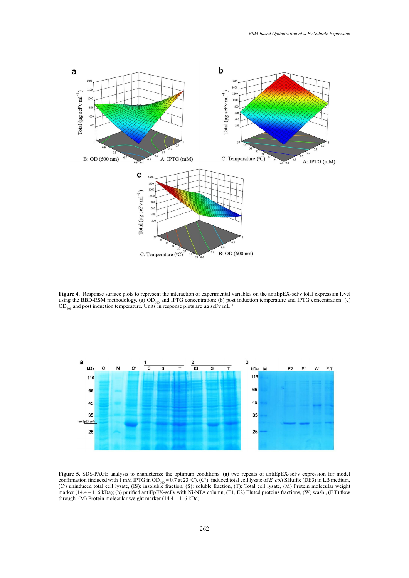

Figure 4. Response surface plots to represent the interaction of experimental variables on the antiEpEX-scFv total expression level using the BBD-RSM methodology. (a)  $OD_{600}$  and IPTG concentration; (b) post induction temperature and IPTG concentration; (c)  $OD<sub>600</sub>$  and post induction temperature. Units in response plots are  $\mu$ g scFv mL<sup>-1</sup>.



Figure 5. SDS-PAGE analysis to characterize the optimum conditions. (a) two repeats of antiEpEX-scFv expression for model  $\lim_{\text{equation}} \left( \frac{\text{induced with 1 mM PFG in OD}}{\text{mod } 2} = 0.7 \text{ at } 23 \text{ sC} \right)$ ,  $\left( C^+ \right)$ : induced total cell lysate of *E. coli* SHuffle (DE3) in LB medium induced total cell lysate, (IS): insoluble fraction, (S): soluble fraction, (T): Total cell lysate, (M) Protein molecular weig  $(14.4 - 116 \text{ KDa})$ ; (b) purified antiepex-scfv with Ni-N LA column, (E1, E2) Eluted proteins fractions, (W) wash , (F.1) flow (14.4 – 116 kDa). through (M) Protein molecular weight marker (14.4 – 116 kDa).confirmation (induced with 1 mM IPTG in OD<sub>600</sub> = 0.7 at 23 °C), (C<sup>+</sup>): induced total cell lysate of *E. coli* SHuffle (DE3) in LB medium, (C- ) uninduced total cell lysate, (IS): insoluble fraction, (S): soluble fraction, (T): Total cell lysate, (M) Protein molecular weight marker (14.4 – 116 kDa); (b) purified antiEpEX-scFv with Ni-NTA column, (E1, E2) Eluted proteins fractions, (W) wash , (F.T) flow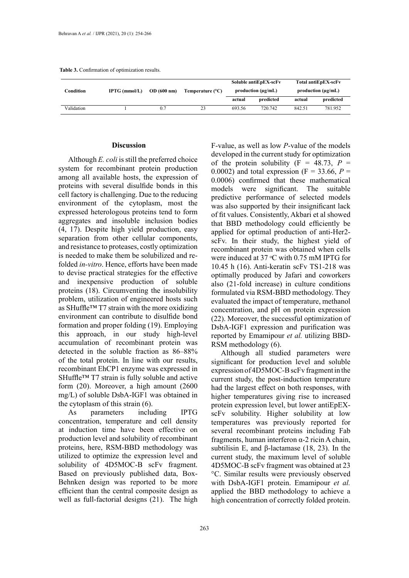|  | <b>Table 3.</b> Confirmation of optimization results. |  |
|--|-------------------------------------------------------|--|

|            | IPTG (mmol/L) | OD(600 nm) | Temperature $(^{\circ}C)$ | Soluble antiEpEX-scFv<br>production $(\mu\gamma/mL)$ |           | Total antiEpEX-scFv<br>production $(\mu g/mL)$ |           |
|------------|---------------|------------|---------------------------|------------------------------------------------------|-----------|------------------------------------------------|-----------|
| Condition  |               |            |                           |                                                      |           |                                                |           |
|            |               |            |                           | actual                                               | predicted | actual                                         | predicted |
| Validation |               | 0.7        | 23                        | 693.56                                               | 720.742   | 842.51                                         | 781.952   |

### **Discussion**

Although *E. coli* is still the preferred choice system for recombinant protein production among all available hosts, the expression of proteins with several disulfide bonds in this cell factory is challenging. Due to the reducing environment of the cytoplasm, most the expressed heterologous proteins tend to form aggregates and insoluble inclusion bodies (4, 17). Despite high yield production, easy separation from other cellular components, and resistance to proteases, costly optimization is needed to make them be solubilized and refolded *in-vitro*. Hence, efforts have been made to devise practical strategies for the effective and inexpensive production of soluble proteins (18). Circumventing the insolubility problem, utilization of engineered hosts such as SHuffle™ T7 strain with the more oxidizing environment can contribute to disulfide bond formation and proper folding (19). Employing this approach, in our study high-level accumulation of recombinant protein was detected in the soluble fraction as 86–88% of the total protein. In line with our results, recombinant EhCP1 enzyme was expressed in SHuffle™ T7 strain is fully soluble and active form (20). Moreover, a high amount (2600 mg/L) of soluble DsbA-IGF1 was obtained in the cytoplasm of this strain (6).

As parameters including IPTG concentration, temperature and cell density at induction time have been effective on production level and solubility of recombinant proteins, here, RSM-BBD methodology was utilized to optimize the expression level and solubility of 4D5MOC-B scFv fragment. Based on previously published data, Box-Behnken design was reported to be more efficient than the central composite design as well as full-factorial designs (21). The high

F-value, as well as low *P*-value of the models developed in the current study for optimization of the protein solubility  $(F = 48.73, P =$ 0.0002) and total expression ( $F = 33.66$ ,  $P =$ 0.0006) confirmed that these mathematical models were significant. The suitable predictive performance of selected models was also supported by their insignificant lack of fit values. Consistently, Akbari et al showed that BBD methodology could efficiently be applied for optimal production of anti-Her2 scFv. In their study, the highest yield of recombinant protein was obtained when cells were induced at  $37 \text{ °C}$  with 0.75 mM IPTG for 10.45 h (16). Anti-keratin scFv TS1-218 was optimally produced by Jafari and coworkers also (21-fold increase) in culture conditions formulated via RSM-BBD methodology. They evaluated the impact of temperature, methanol concentration, and pH on protein expression (22). Moreover, the successful optimization of DsbA-IGF1 expression and purification was reported by Emamipour *et al.* utilizing BBD-RSM methodology (6).

Although all studied parameters were significant for production level and soluble expression of 4D5MOC-B scFv fragment in the current study, the post-induction temperature had the largest effect on both responses, with higher temperatures giving rise to increased protein expression level, but lower antiEpEXscFv solubility. Higher solubility at low temperatures was previously reported for several recombinant proteins including Fab fragments, human interferon  $\alpha$ -2 ricin A chain, subtilisin E, and β-lactamase (18, 23). In the current study, the maximum level of soluble 4D5MOC-B scFv fragment was obtained at 23 °C. Similar results were previously observed with DsbA-IGF1 protein. Emamipour *et al.* applied the BBD methodology to achieve a high concentration of correctly folded protein.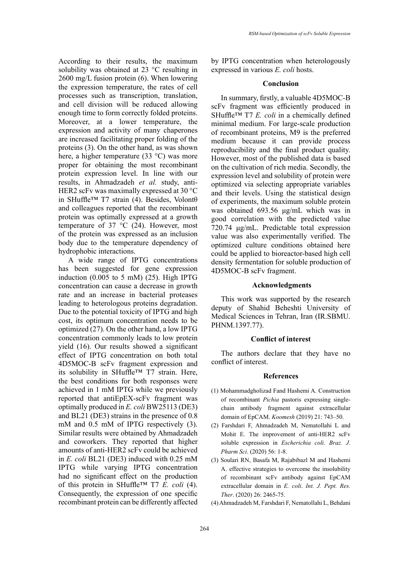According to their results, the maximum solubility was obtained at 23 °C resulting in 2600 mg/L fusion protein (6). When lowering the expression temperature, the rates of cell processes such as transcription, translation, and cell division will be reduced allowing enough time to form correctly folded proteins. Moreover, at a lower temperature, the expression and activity of many chaperones are increased facilitating proper folding of the proteins (3). On the other hand, as was shown here, a higher temperature (33 °C) was more proper for obtaining the most recombinant protein expression level. In line with our results, in Ahmadzadeh *et al.* study, anti-HER2 scFv was maximally expressed at 30 °C in SHuffle™ T7 strain (4). Besides, Volontθ and colleagues reported that the recombinant protein was optimally expressed at a growth temperature of 37 °C (24). However, most of the protein was expressed as an inclusion body due to the temperature dependency of hydrophobic interactions.

A wide range of IPTG concentrations has been suggested for gene expression induction  $(0.005$  to 5 mM $)$   $(25)$ . High IPTG concentration can cause a decrease in growth rate and an increase in bacterial proteases leading to heterologous proteins degradation. Due to the potential toxicity of IPTG and high cost, its optimum concentration needs to be optimized (27). On the other hand, a low IPTG concentration commonly leads to low protein yield (16). Our results showed a significant effect of IPTG concentration on both total 4D5MOC-B scFv fragment expression and its solubility in SHuffle™ T7 strain. Here, the best conditions for both responses were achieved in 1 mM IPTG while we previously reported that antiEpEX-scFv fragment was optimally produced in *E. coli* BW25113 (DE3) and BL21 (DE3) strains in the presence of 0.8 mM and 0.5 mM of IPTG respectively (3). Similar results were obtained by Ahmadzadeh and coworkers. They reported that higher amounts of anti-HER2 scFv could be achieved in *E. coli* BL21 (DE3) induced with 0.25 mM IPTG while varying IPTG concentration had no significant effect on the production of this protein in SHuffle<sup>TM</sup> T7  $\vec{E}$ . coli (4). Consequently, the expression of one specific recombinant protein can be differently affected

by IPTG concentration when heterologously expressed in various *E. coli* hosts.

### **Conclusion**

In summary, firstly, a valuable 4D5MOC-B scFv fragment was efficiently produced in SHuffle™ T7 *E. coli* in a chemically defined minimal medium. For large-scale production of recombinant proteins, M9 is the preferred medium because it can provide process reproducibility and the final product quality. However, most of the published data is based on the cultivation of rich media. Secondly, the expression level and solubility of protein were optimized via selecting appropriate variables and their levels. Using the statistical design of experiments, the maximum soluble protein was obtained 693.56 μg/mL which was in good correlation with the predicted value 720.74 μg/mL. Predictable total expression value was also experimentally verified. The optimized culture conditions obtained here could be applied to bioreactor-based high cell density fermentation for soluble production of 4D5MOC-B scFv fragment.

## **Acknowledgments**

This work was supported by the research deputy of Shahid Beheshti University of Medical Sciences in Tehran, Iran (IR.SBMU. PHNM.1397.77).

### **Conflict of interest**

The authors declare that they have no conflict of interest.

#### **References**

- (1) Mohammadgholizad Fand Hashemi A. Construction of recombinant *Pichia* pastoris expressing singlechain antibody fragment against extracellular domain of EpCAM. *Koomesh* (2019) 21: 743–50.
- (2) Farshdari F, Ahmadzadeh M, Nematollahi L and Mohit E. The improvement of anti-HER2 scFv soluble expression in *Escherichia coli*. *Braz. J. Pharm Sci*. (2020) 56: 1-8.
- (3) Soulari RN, Basafa M, Rajabibazl M and Hashemi A. effective strategies to overcome the insolubility of recombinant scFv antibody against EpCAM extracellular domain in *E. coli*. *Int. J. Pept. Res. Ther*. (2020) 26: 2465-75.
- (4) Ahmadzadeh M, Farshdari F, Nematollahi L, Behdani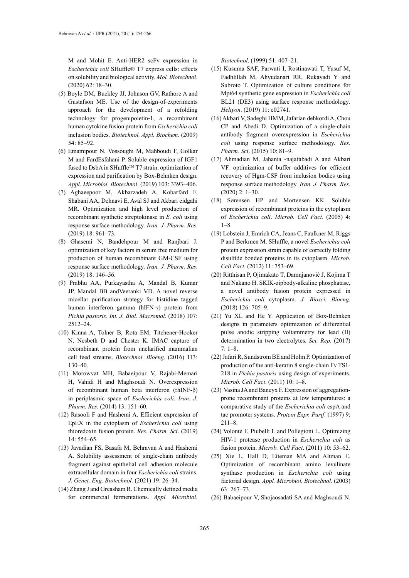M and Mohit E. Anti-HER2 scFv expression in *Escherichia coli* SHuffle® T7 express cells: effects on solubility and biological activity. *Mol. Biotechnol*. (2020) 62: 18–30.

- (5) Boyle DM, Buckley JJ, Johnson GV, Rathore A and Gustafson ME. Use of the design‐of‐experiments approach for the development of a refolding technology for progenipoietin‐1, a recombinant human cytokine fusion protein from *Escherichia coli* inclusion bodies. *Biotechnol. Appl. Biochem*. (2009) 54: 85–92.
- (6) Emamipour N, Vossoughi M, Mahboudi F, Golkar M and FardEsfahani P. Soluble expression of IGF1 fused to DsbA in SHuffle™ T7 strain: optimization of expression and purification by Box-Behnken design. *Appl. Microbiol. Biotechnol*. (2019) 103: 3393–406.
- (7) Aghaeepoor M, Akbarzadeh A, Kobarfard F, Shabani AA, Dehnavi E, Aval SJ and Akbari eidgahi MR. Optimization and high level production of recombinant synthetic streptokinase in *E. coli* using response surface methodology. *Iran. J. Pharm. Res*. (2019) 18: 961–73.
- (8) Ghasemi N, Bandehpour M and Ranjbari J. optimization of key factors in serum free medium for production of human recombinant GM-CSF using response surface methodology. *Iran. J. Pharm. Res*. (2019) 18: 146–56.
- (9) Prabhu AA, Purkayastha A, Mandal B, Kumar JP, Mandal BB andVeeranki VD. A novel reverse micellar purification strategy for histidine tagged human interferon gamma (hIFN-γ) protein from *Pichia pastoris*. *Int. J. Biol. Macromol*. (2018) 107: 2512–24.
- (10) Kinna A, Tolner B, Rota EM, Titchener‐Hooker N, Nesbeth D and Chester K. IMAC capture of recombinant protein from unclarified mammalian cell feed streams. *Biotechnol. Bioeng*. (2016) 113: 130–40.
- (11) Morowvat MH, Babaeipour V, Rajabi-Memari H, Vahidi H and Maghsoudi N. Overexpression of recombinant human beta interferon (rhINF-β) in periplasmic space of *Escherichia coli*. *Iran. J. Pharm. Res*. (2014) 13: 151–60.
- (12) Rasooli F and Hashemi A. Efficient expression of EpEX in the cytoplasm of *Escherichia coli* using thioredoxin fusion protein. *Res. Pharm. Sci*. (2019) 14: 554–65.
- (13) Javadian FS, Basafa M, Behravan A and Hashemi A. Solubility assessment of single-chain antibody fragment against epithelial cell adhesion molecule extracellular domain in four *Escherichia coli* strains. *J. Genet. Eng. Biotechnol.* (2021) 19: 26–34.
- (14) Zhang J and Greasham R. Chemically defined media for commercial fermentations. *Appl. Microbiol.*

*Biotechnol*. (1999) 51: 407–21.

- (15) Kusuma SAF, Parwati I, Rostinawati T, Yusuf M, Fadhlillah M, Ahyudanari RR, [Rukayadi](https://www.sciencedirect.com/science/article/pii/S2405844019364011#!) Y and [Subroto](https://www.sciencedirect.com/science/article/pii/S2405844019364011#!) T. Optimization of culture conditions for Mpt64 synthetic gene expression in *Escherichia coli* BL21 (DE3) using surface response methodology*. Heliyon*. (2019) 11: e02741.
- (16) Akbari V, Sadeghi HMM, Jafarian dehkordi A, Chou CP and Abedi D. Optimization of a single-chain antibody fragment overexpression in *Escherichia coli* using response surface methodology. *Res. Pharm. Sci*. (2015) 10: 81–9.
- (17) Ahmadian M, Jahania -najafabadi A and Akbari VF. optimization of buffer additives for efficient recovery of Hgm-CSF from inclusion bodies using response surface methodology. *Iran. J. Pharm. Res*. (2020) 2: 1–30.
- (18) Sørensen HP and Mortensen KK. Soluble expression of recombinant proteins in the cytoplasm of *Escherichia coli*. *Microb. Cell Fact*. (2005) 4: 1–8.
- (19) Lobstein J, Emrich CA, Jeans C, Faulkner M, Riggs P and Berkmen M. SHuffle, a novel *Escherichia coli* protein expression strain capable of correctly folding disulfide bonded proteins in its cytoplasm. *Microb. Cell Fact*. (2012) 11: 753–69.
- (20) Ritthisan P, Ojimakato T, Damnjanović J, Kojima T and Nakano H. SKIK-zipbody-alkaline phosphatase, a novel antibody fusion protein expressed in *Escherichia coli* cytoplasm. *J. Biosci. Bioeng*. (2018) 126: 705–9.
- (21) Yu XL and He Y. Application of Box-Behnken designs in parameters optimization of differential pulse anodic stripping voltammetry for lead (II) determination in two electrolytes. *Sci. Rep*. (2017) 7: 1–8.
- (22) Jafari R, Sundström BE and Holm P. Optimization of production of the anti-keratin 8 single-chain Fv TS1- 218 in *Pichia pastoris* using design of experiments. *Microb. Cell Fact*. (2011) 10: 1–8.
- (23) Vasina JA and Baneyx F. Expression of aggregationprone recombinant proteins at low temperatures: a comparative study of the *Escherichia coli* cspA and tac promoter systems. *Protein Expr. Purif*. (1997) 9: 211–8.
- (24) Volontè F, Piubelli L and Pollegioni L. Optimizing HIV-1 protease production in *Escherichia coli* as fusion protein. *Microb. Cell Fact*. (2011) 10: 53–62.
- (25) Xie L, Hall D, Eiteman MA and Altman E. Optimization of recombinant amino levulinate synthase production in *Escherichia coli* using factorial design. *Appl. Microbiol. Biotechnol*. (2003) 63: 267–73.
- (26) Babaeipour V, Shojaosadati SA and Maghsoudi N.